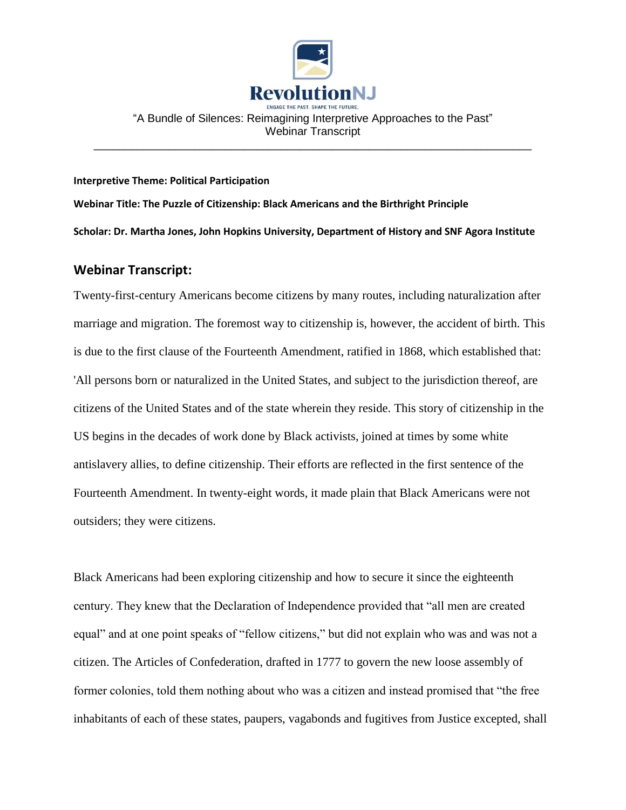

**Interpretive Theme: Political Participation Webinar Title: The Puzzle of Citizenship: Black Americans and the Birthright Principle Scholar: Dr. Martha Jones, John Hopkins University, Department of History and SNF Agora Institute**

## **Webinar Transcript:**

Twenty-first-century Americans become citizens by many routes, including naturalization after marriage and migration. The foremost way to citizenship is, however, the accident of birth. This is due to the first clause of the Fourteenth Amendment, ratified in 1868, which established that: 'All persons born or naturalized in the United States, and subject to the jurisdiction thereof, are citizens of the United States and of the state wherein they reside. This story of citizenship in the US begins in the decades of work done by Black activists, joined at times by some white antislavery allies, to define citizenship. Their efforts are reflected in the first sentence of the Fourteenth Amendment. In twenty-eight words, it made plain that Black Americans were not outsiders; they were citizens.

Black Americans had been exploring citizenship and how to secure it since the eighteenth century. They knew that the Declaration of Independence provided that "all men are created equal" and at one point speaks of "fellow citizens," but did not explain who was and was not a citizen. The Articles of Confederation, drafted in 1777 to govern the new loose assembly of former colonies, told them nothing about who was a citizen and instead promised that "the free inhabitants of each of these states, paupers, vagabonds and fugitives from Justice excepted, shall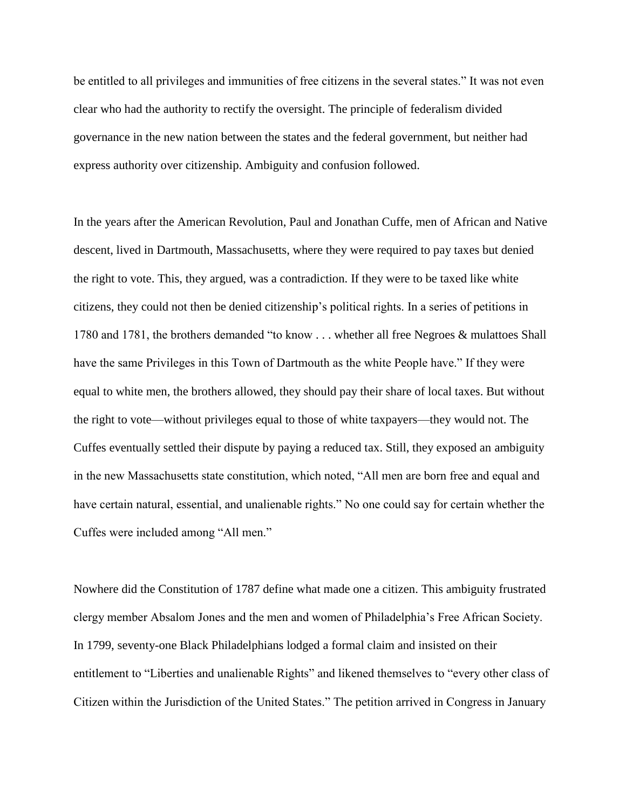be entitled to all privileges and immunities of free citizens in the several states." It was not even clear who had the authority to rectify the oversight. The principle of federalism divided governance in the new nation between the states and the federal government, but neither had express authority over citizenship. Ambiguity and confusion followed.

In the years after the American Revolution, Paul and Jonathan Cuffe, men of African and Native descent, lived in Dartmouth, Massachusetts, where they were required to pay taxes but denied the right to vote. This, they argued, was a contradiction. If they were to be taxed like white citizens, they could not then be denied citizenship's political rights. In a series of petitions in 1780 and 1781, the brothers demanded "to know . . . whether all free Negroes & mulattoes Shall have the same Privileges in this Town of Dartmouth as the white People have." If they were equal to white men, the brothers allowed, they should pay their share of local taxes. But without the right to vote—without privileges equal to those of white taxpayers—they would not. The Cuffes eventually settled their dispute by paying a reduced tax. Still, they exposed an ambiguity in the new Massachusetts state constitution, which noted, "All men are born free and equal and have certain natural, essential, and unalienable rights." No one could say for certain whether the Cuffes were included among "All men."

Nowhere did the Constitution of 1787 define what made one a citizen. This ambiguity frustrated clergy member Absalom Jones and the men and women of Philadelphia's Free African Society. In 1799, seventy-one Black Philadelphians lodged a formal claim and insisted on their entitlement to "Liberties and unalienable Rights" and likened themselves to "every other class of Citizen within the Jurisdiction of the United States." The petition arrived in Congress in January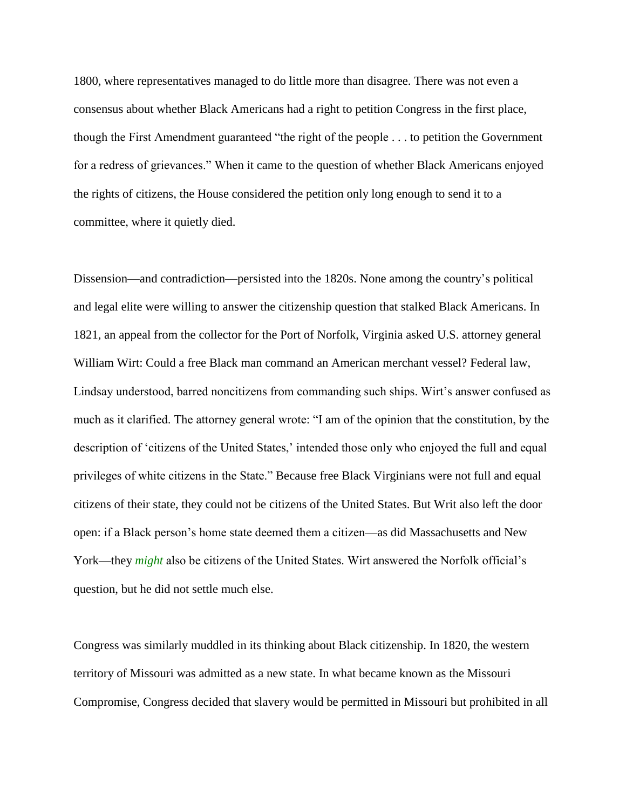1800, where representatives managed to do little more than disagree. There was not even a consensus about whether Black Americans had a right to petition Congress in the first place, though the First Amendment guaranteed "the right of the people . . . to petition the Government for a redress of grievances." When it came to the question of whether Black Americans enjoyed the rights of citizens, the House considered the petition only long enough to send it to a committee, where it quietly died.

Dissension—and contradiction—persisted into the 1820s. None among the country's political and legal elite were willing to answer the citizenship question that stalked Black Americans. In 1821, an appeal from the collector for the Port of Norfolk, Virginia asked U.S. attorney general William Wirt: Could a free Black man command an American merchant vessel? Federal law, Lindsay understood, barred noncitizens from commanding such ships. Wirt's answer confused as much as it clarified. The attorney general wrote: "I am of the opinion that the constitution, by the description of 'citizens of the United States,' intended those only who enjoyed the full and equal privileges of white citizens in the State." Because free Black Virginians were not full and equal citizens of their state, they could not be citizens of the United States. But Writ also left the door open: if a Black person's home state deemed them a citizen—as did Massachusetts and New York—they *might* also be citizens of the United States. Wirt answered the Norfolk official's question, but he did not settle much else.

Congress was similarly muddled in its thinking about Black citizenship. In 1820, the western territory of Missouri was admitted as a new state. In what became known as the Missouri Compromise, Congress decided that slavery would be permitted in Missouri but prohibited in all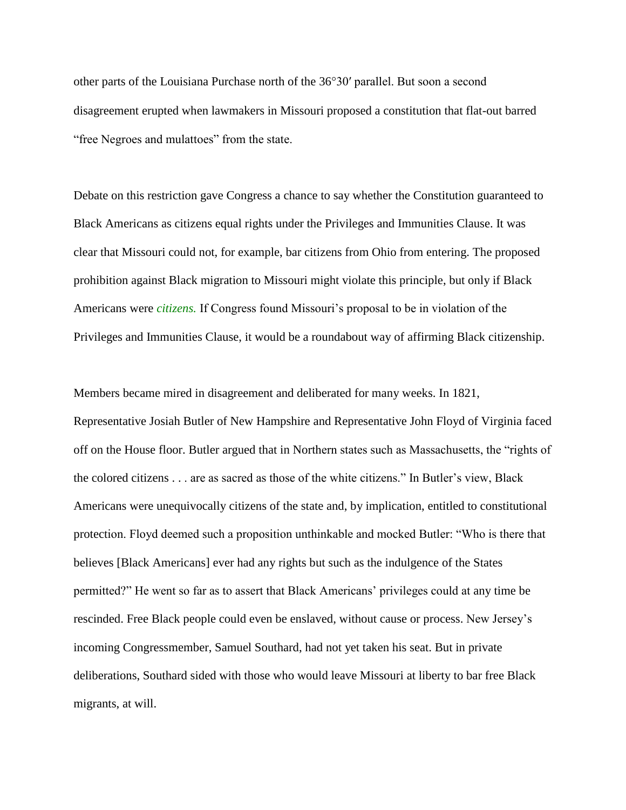other parts of the Louisiana Purchase north of the 36°30′ parallel. But soon a second disagreement erupted when lawmakers in Missouri proposed a constitution that flat-out barred "free Negroes and mulattoes" from the state.

Debate on this restriction gave Congress a chance to say whether the Constitution guaranteed to Black Americans as citizens equal rights under the Privileges and Immunities Clause. It was clear that Missouri could not, for example, bar citizens from Ohio from entering. The proposed prohibition against Black migration to Missouri might violate this principle, but only if Black Americans were *citizens.* If Congress found Missouri's proposal to be in violation of the Privileges and Immunities Clause, it would be a roundabout way of affirming Black citizenship.

Members became mired in disagreement and deliberated for many weeks. In 1821, Representative Josiah Butler of New Hampshire and Representative John Floyd of Virginia faced off on the House floor. Butler argued that in Northern states such as Massachusetts, the "rights of the colored citizens . . . are as sacred as those of the white citizens." In Butler's view, Black Americans were unequivocally citizens of the state and, by implication, entitled to constitutional protection. Floyd deemed such a proposition unthinkable and mocked Butler: "Who is there that believes [Black Americans] ever had any rights but such as the indulgence of the States permitted?" He went so far as to assert that Black Americans' privileges could at any time be rescinded. Free Black people could even be enslaved, without cause or process. New Jersey's incoming Congressmember, Samuel Southard, had not yet taken his seat. But in private deliberations, Southard sided with those who would leave Missouri at liberty to bar free Black migrants, at will.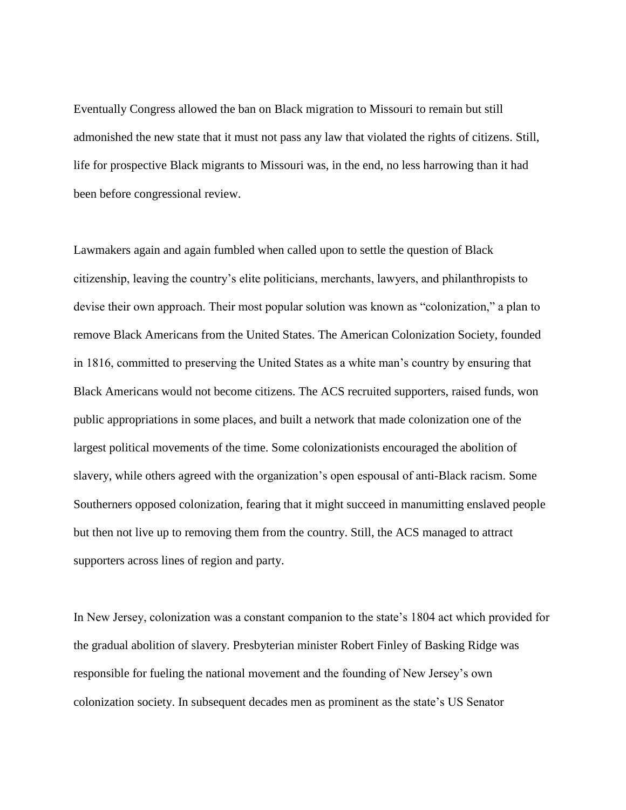Eventually Congress allowed the ban on Black migration to Missouri to remain but still admonished the new state that it must not pass any law that violated the rights of citizens. Still, life for prospective Black migrants to Missouri was, in the end, no less harrowing than it had been before congressional review.

Lawmakers again and again fumbled when called upon to settle the question of Black citizenship, leaving the country's elite politicians, merchants, lawyers, and philanthropists to devise their own approach. Their most popular solution was known as "colonization," a plan to remove Black Americans from the United States. The American Colonization Society, founded in 1816, committed to preserving the United States as a white man's country by ensuring that Black Americans would not become citizens. The ACS recruited supporters, raised funds, won public appropriations in some places, and built a network that made colonization one of the largest political movements of the time. Some colonizationists encouraged the abolition of slavery, while others agreed with the organization's open espousal of anti-Black racism. Some Southerners opposed colonization, fearing that it might succeed in manumitting enslaved people but then not live up to removing them from the country. Still, the ACS managed to attract supporters across lines of region and party.

In New Jersey, colonization was a constant companion to the state's 1804 act which provided for the gradual abolition of slavery. Presbyterian minister Robert Finley of Basking Ridge was responsible for fueling the national movement and the founding of New Jersey's own colonization society. In subsequent decades men as prominent as the state's US Senator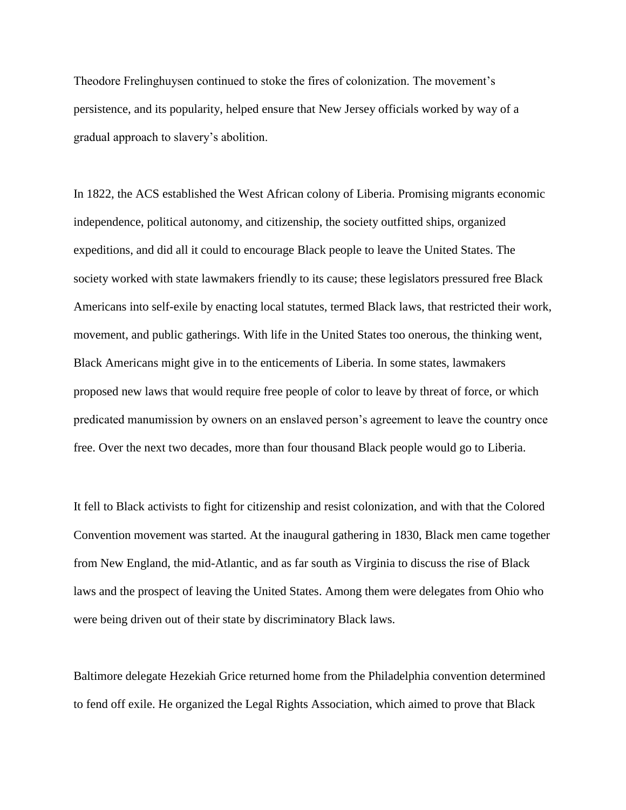Theodore Frelinghuysen continued to stoke the fires of colonization. The movement's persistence, and its popularity, helped ensure that New Jersey officials worked by way of a gradual approach to slavery's abolition.

In 1822, the ACS established the West African colony of Liberia. Promising migrants economic independence, political autonomy, and citizenship, the society outfitted ships, organized expeditions, and did all it could to encourage Black people to leave the United States. The society worked with state lawmakers friendly to its cause; these legislators pressured free Black Americans into self-exile by enacting local statutes, termed Black laws, that restricted their work, movement, and public gatherings. With life in the United States too onerous, the thinking went, Black Americans might give in to the enticements of Liberia. In some states, lawmakers proposed new laws that would require free people of color to leave by threat of force, or which predicated manumission by owners on an enslaved person's agreement to leave the country once free. Over the next two decades, more than four thousand Black people would go to Liberia.

It fell to Black activists to fight for citizenship and resist colonization, and with that the Colored Convention movement was started. At the inaugural gathering in 1830, Black men came together from New England, the mid-Atlantic, and as far south as Virginia to discuss the rise of Black laws and the prospect of leaving the United States. Among them were delegates from Ohio who were being driven out of their state by discriminatory Black laws.

Baltimore delegate Hezekiah Grice returned home from the Philadelphia convention determined to fend off exile. He organized the Legal Rights Association, which aimed to prove that Black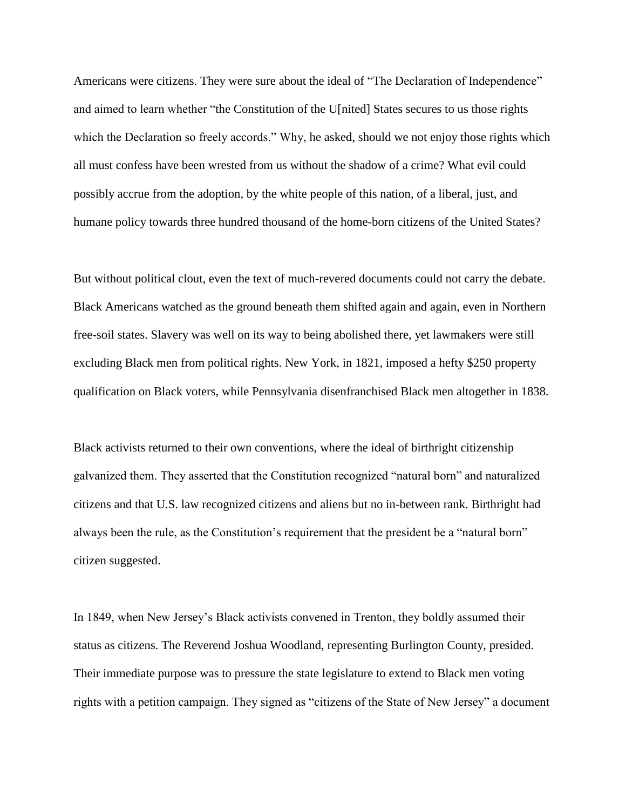Americans were citizens. They were sure about the ideal of "The Declaration of Independence" and aimed to learn whether "the Constitution of the U[nited] States secures to us those rights which the Declaration so freely accords." Why, he asked, should we not enjoy those rights which all must confess have been wrested from us without the shadow of a crime? What evil could possibly accrue from the adoption, by the white people of this nation, of a liberal, just, and humane policy towards three hundred thousand of the home-born citizens of the United States?

But without political clout, even the text of much-revered documents could not carry the debate. Black Americans watched as the ground beneath them shifted again and again, even in Northern free-soil states. Slavery was well on its way to being abolished there, yet lawmakers were still excluding Black men from political rights. New York, in 1821, imposed a hefty \$250 property qualification on Black voters, while Pennsylvania disenfranchised Black men altogether in 1838.

Black activists returned to their own conventions, where the ideal of birthright citizenship galvanized them. They asserted that the Constitution recognized "natural born" and naturalized citizens and that U.S. law recognized citizens and aliens but no in-between rank. Birthright had always been the rule, as the Constitution's requirement that the president be a "natural born" citizen suggested.

In 1849, when New Jersey's Black activists convened in Trenton, they boldly assumed their status as citizens. The Reverend Joshua Woodland, representing Burlington County, presided. Their immediate purpose was to pressure the state legislature to extend to Black men voting rights with a petition campaign. They signed as "citizens of the State of New Jersey" a document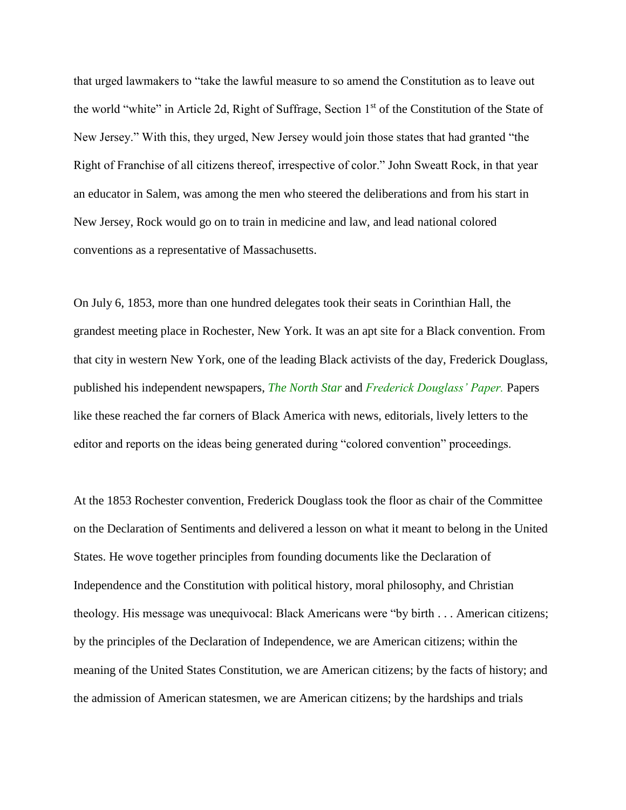that urged lawmakers to "take the lawful measure to so amend the Constitution as to leave out the world "white" in Article 2d, Right of Suffrage, Section 1<sup>st</sup> of the Constitution of the State of New Jersey." With this, they urged, New Jersey would join those states that had granted "the Right of Franchise of all citizens thereof, irrespective of color." John Sweatt Rock, in that year an educator in Salem, was among the men who steered the deliberations and from his start in New Jersey, Rock would go on to train in medicine and law, and lead national colored conventions as a representative of Massachusetts.

On July 6, 1853, more than one hundred delegates took their seats in Corinthian Hall, the grandest meeting place in Rochester, New York. It was an apt site for a Black convention. From that city in western New York, one of the leading Black activists of the day, Frederick Douglass, published his independent newspapers, *The North Star* and *Frederick Douglass' Paper.* Papers like these reached the far corners of Black America with news, editorials, lively letters to the editor and reports on the ideas being generated during "colored convention" proceedings.

At the 1853 Rochester convention, Frederick Douglass took the floor as chair of the Committee on the Declaration of Sentiments and delivered a lesson on what it meant to belong in the United States. He wove together principles from founding documents like the Declaration of Independence and the Constitution with political history, moral philosophy, and Christian theology. His message was unequivocal: Black Americans were "by birth . . . American citizens; by the principles of the Declaration of Independence, we are American citizens; within the meaning of the United States Constitution, we are American citizens; by the facts of history; and the admission of American statesmen, we are American citizens; by the hardships and trials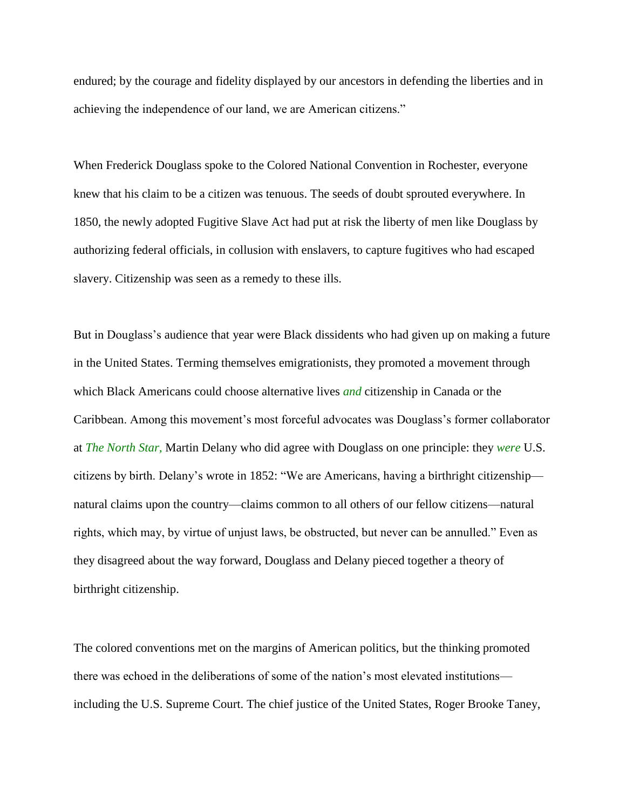endured; by the courage and fidelity displayed by our ancestors in defending the liberties and in achieving the independence of our land, we are American citizens."

When Frederick Douglass spoke to the Colored National Convention in Rochester, everyone knew that his claim to be a citizen was tenuous. The seeds of doubt sprouted everywhere. In 1850, the newly adopted Fugitive Slave Act had put at risk the liberty of men like Douglass by authorizing federal officials, in collusion with enslavers, to capture fugitives who had escaped slavery. Citizenship was seen as a remedy to these ills.

But in Douglass's audience that year were Black dissidents who had given up on making a future in the United States. Terming themselves emigrationists, they promoted a movement through which Black Americans could choose alternative lives *and* citizenship in Canada or the Caribbean. Among this movement's most forceful advocates was Douglass's former collaborator at *The North Star,* Martin Delany who did agree with Douglass on one principle: they *were* U.S. citizens by birth. Delany's wrote in 1852: "We are Americans, having a birthright citizenship natural claims upon the country—claims common to all others of our fellow citizens—natural rights, which may, by virtue of unjust laws, be obstructed, but never can be annulled." Even as they disagreed about the way forward, Douglass and Delany pieced together a theory of birthright citizenship.

The colored conventions met on the margins of American politics, but the thinking promoted there was echoed in the deliberations of some of the nation's most elevated institutions including the U.S. Supreme Court. The chief justice of the United States, Roger Brooke Taney,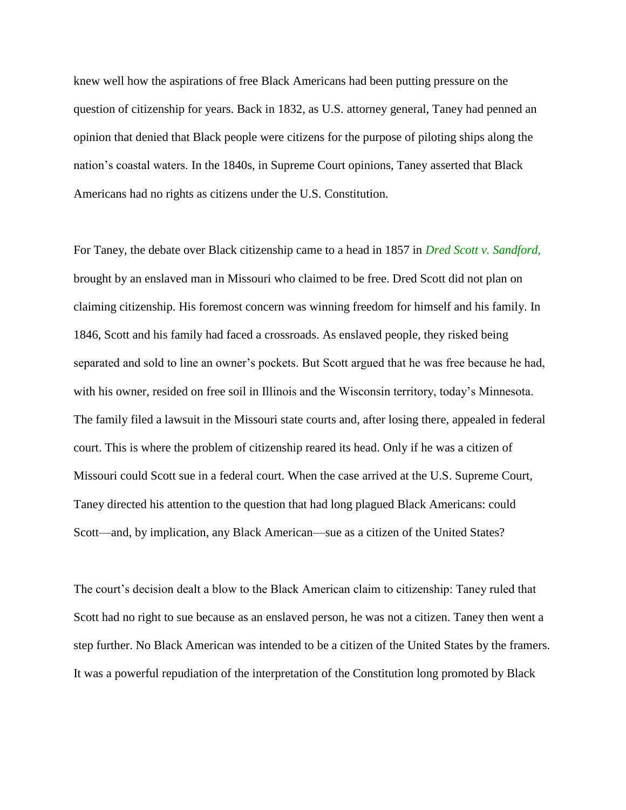knew well how the aspirations of free Black Americans had been putting pressure on the question of citizenship for years. Back in 1832, as U.S. attorney general, Taney had penned an opinion that denied that Black people were citizens for the purpose of piloting ships along the nation's coastal waters. In the 1840s, in Supreme Court opinions, Taney asserted that Black Americans had no rights as citizens under the U.S. Constitution.

For Taney, the debate over Black citizenship came to a head in 1857 in *Dred Scott v. Sandford,*  brought by an enslaved man in Missouri who claimed to be free. Dred Scott did not plan on claiming citizenship. His foremost concern was winning freedom for himself and his family. In 1846, Scott and his family had faced a crossroads. As enslaved people, they risked being separated and sold to line an owner's pockets. But Scott argued that he was free because he had, with his owner, resided on free soil in Illinois and the Wisconsin territory, today's Minnesota. The family filed a lawsuit in the Missouri state courts and, after losing there, appealed in federal court. This is where the problem of citizenship reared its head. Only if he was a citizen of Missouri could Scott sue in a federal court. When the case arrived at the U.S. Supreme Court, Taney directed his attention to the question that had long plagued Black Americans: could Scott—and, by implication, any Black American—sue as a citizen of the United States?

The court's decision dealt a blow to the Black American claim to citizenship: Taney ruled that Scott had no right to sue because as an enslaved person, he was not a citizen. Taney then went a step further. No Black American was intended to be a citizen of the United States by the framers. It was a powerful repudiation of the interpretation of the Constitution long promoted by Black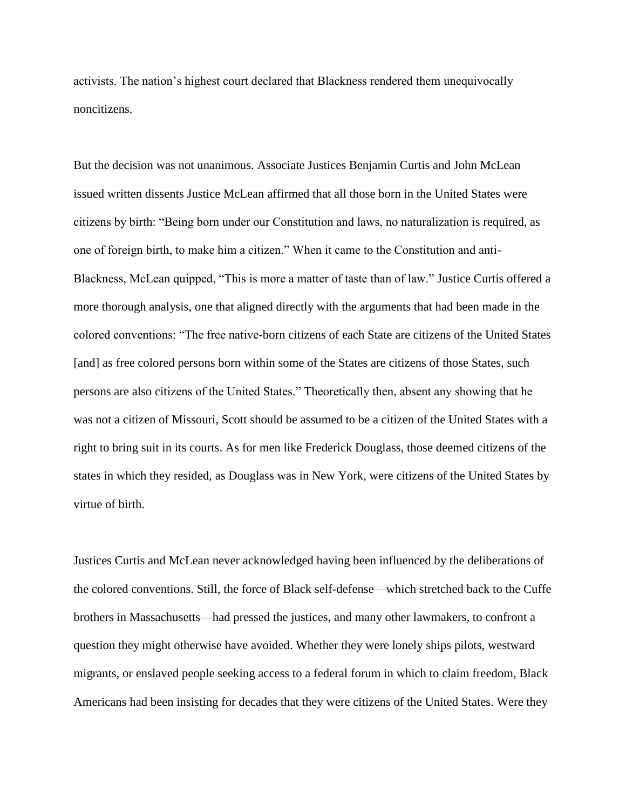activists. The nation's highest court declared that Blackness rendered them unequivocally noncitizens.

But the decision was not unanimous. Associate Justices Benjamin Curtis and John McLean issued written dissents Justice McLean affirmed that all those born in the United States were citizens by birth: "Being born under our Constitution and laws, no naturalization is required, as one of foreign birth, to make him a citizen." When it came to the Constitution and anti-Blackness, McLean quipped, "This is more a matter of taste than of law." Justice Curtis offered a more thorough analysis, one that aligned directly with the arguments that had been made in the colored conventions: "The free native-born citizens of each State are citizens of the United States [and] as free colored persons born within some of the States are citizens of those States, such persons are also citizens of the United States." Theoretically then, absent any showing that he was not a citizen of Missouri, Scott should be assumed to be a citizen of the United States with a right to bring suit in its courts. As for men like Frederick Douglass, those deemed citizens of the states in which they resided, as Douglass was in New York, were citizens of the United States by virtue of birth.

Justices Curtis and McLean never acknowledged having been influenced by the deliberations of the colored conventions. Still, the force of Black self-defense—which stretched back to the Cuffe brothers in Massachusetts—had pressed the justices, and many other lawmakers, to confront a question they might otherwise have avoided. Whether they were lonely ships pilots, westward migrants, or enslaved people seeking access to a federal forum in which to claim freedom, Black Americans had been insisting for decades that they were citizens of the United States. Were they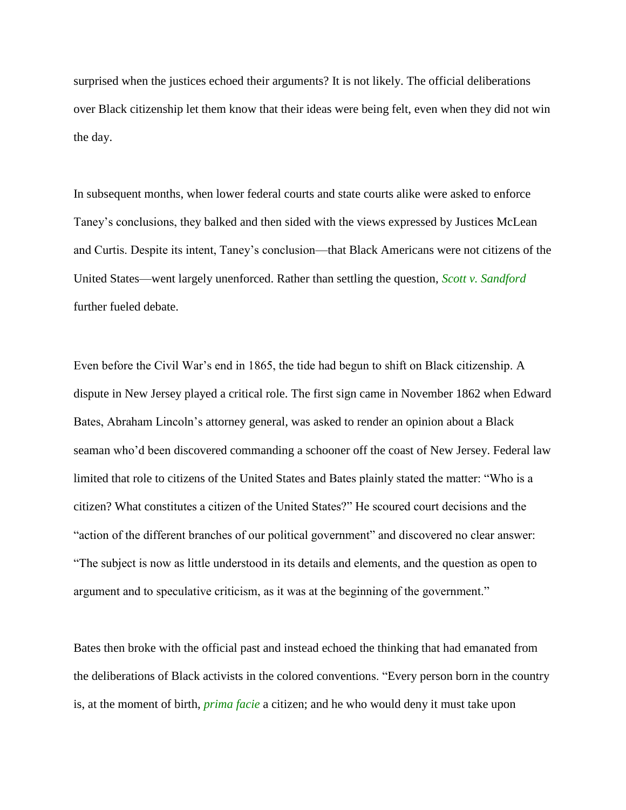surprised when the justices echoed their arguments? It is not likely. The official deliberations over Black citizenship let them know that their ideas were being felt, even when they did not win the day.

In subsequent months, when lower federal courts and state courts alike were asked to enforce Taney's conclusions, they balked and then sided with the views expressed by Justices McLean and Curtis. Despite its intent, Taney's conclusion—that Black Americans were not citizens of the United States—went largely unenforced. Rather than settling the question, *Scott v. Sandford* further fueled debate.

Even before the Civil War's end in 1865, the tide had begun to shift on Black citizenship. A dispute in New Jersey played a critical role. The first sign came in November 1862 when Edward Bates, Abraham Lincoln's attorney general, was asked to render an opinion about a Black seaman who'd been discovered commanding a schooner off the coast of New Jersey. Federal law limited that role to citizens of the United States and Bates plainly stated the matter: "Who is a citizen? What constitutes a citizen of the United States?" He scoured court decisions and the "action of the different branches of our political government" and discovered no clear answer: "The subject is now as little understood in its details and elements, and the question as open to argument and to speculative criticism, as it was at the beginning of the government."

Bates then broke with the official past and instead echoed the thinking that had emanated from the deliberations of Black activists in the colored conventions. "Every person born in the country is, at the moment of birth, *prima facie* a citizen; and he who would deny it must take upon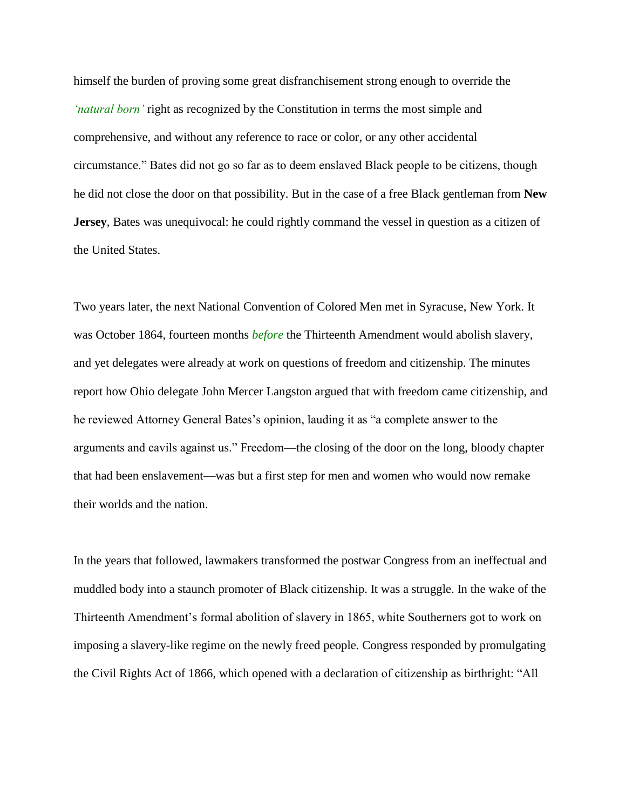himself the burden of proving some great disfranchisement strong enough to override the *'natural born'* right as recognized by the Constitution in terms the most simple and comprehensive, and without any reference to race or color, or any other accidental circumstance." Bates did not go so far as to deem enslaved Black people to be citizens, though he did not close the door on that possibility. But in the case of a free Black gentleman from **New Jersey**, Bates was unequivocal: he could rightly command the vessel in question as a citizen of the United States.

Two years later, the next National Convention of Colored Men met in Syracuse, New York. It was October 1864, fourteen months *before* the Thirteenth Amendment would abolish slavery, and yet delegates were already at work on questions of freedom and citizenship. The minutes report how Ohio delegate John Mercer Langston argued that with freedom came citizenship, and he reviewed Attorney General Bates's opinion, lauding it as "a complete answer to the arguments and cavils against us." Freedom—the closing of the door on the long, bloody chapter that had been enslavement—was but a first step for men and women who would now remake their worlds and the nation.

In the years that followed, lawmakers transformed the postwar Congress from an ineffectual and muddled body into a staunch promoter of Black citizenship. It was a struggle. In the wake of the Thirteenth Amendment's formal abolition of slavery in 1865, white Southerners got to work on imposing a slavery-like regime on the newly freed people. Congress responded by promulgating the Civil Rights Act of 1866, which opened with a declaration of citizenship as birthright: "All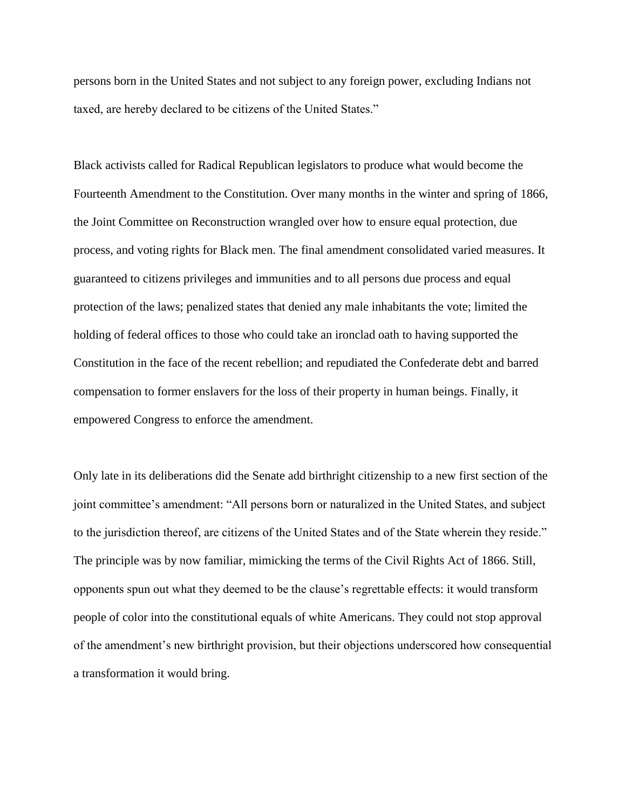persons born in the United States and not subject to any foreign power, excluding Indians not taxed, are hereby declared to be citizens of the United States."

Black activists called for Radical Republican legislators to produce what would become the Fourteenth Amendment to the Constitution. Over many months in the winter and spring of 1866, the Joint Committee on Reconstruction wrangled over how to ensure equal protection, due process, and voting rights for Black men. The final amendment consolidated varied measures. It guaranteed to citizens privileges and immunities and to all persons due process and equal protection of the laws; penalized states that denied any male inhabitants the vote; limited the holding of federal offices to those who could take an ironclad oath to having supported the Constitution in the face of the recent rebellion; and repudiated the Confederate debt and barred compensation to former enslavers for the loss of their property in human beings. Finally, it empowered Congress to enforce the amendment.

Only late in its deliberations did the Senate add birthright citizenship to a new first section of the joint committee's amendment: "All persons born or naturalized in the United States, and subject to the jurisdiction thereof, are citizens of the United States and of the State wherein they reside." The principle was by now familiar, mimicking the terms of the Civil Rights Act of 1866. Still, opponents spun out what they deemed to be the clause's regrettable effects: it would transform people of color into the constitutional equals of white Americans. They could not stop approval of the amendment's new birthright provision, but their objections underscored how consequential a transformation it would bring.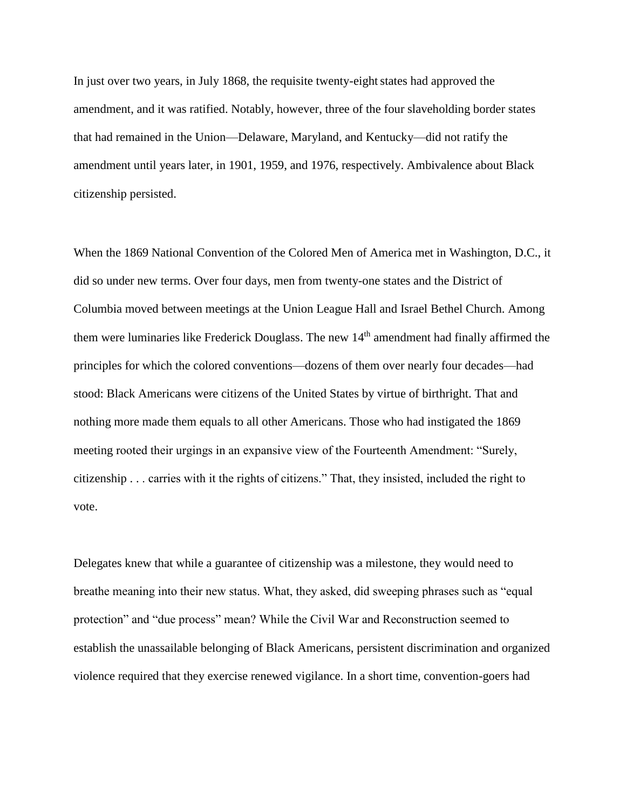In just over two years, in July 1868, the requisite twenty-eight states had approved the amendment, and it was ratified. Notably, however, three of the four slaveholding border states that had remained in the Union—Delaware, Maryland, and Kentucky—did not ratify the amendment until years later, in 1901, 1959, and 1976, respectively. Ambivalence about Black citizenship persisted.

When the 1869 National Convention of the Colored Men of America met in Washington, D.C., it did so under new terms. Over four days, men from twenty-one states and the District of Columbia moved between meetings at the Union League Hall and Israel Bethel Church. Among them were luminaries like Frederick Douglass. The new 14<sup>th</sup> amendment had finally affirmed the principles for which the colored conventions—dozens of them over nearly four decades—had stood: Black Americans were citizens of the United States by virtue of birthright. That and nothing more made them equals to all other Americans. Those who had instigated the 1869 meeting rooted their urgings in an expansive view of the Fourteenth Amendment: "Surely, citizenship . . . carries with it the rights of citizens." That, they insisted, included the right to vote.

Delegates knew that while a guarantee of citizenship was a milestone, they would need to breathe meaning into their new status. What, they asked, did sweeping phrases such as "equal protection" and "due process" mean? While the Civil War and Reconstruction seemed to establish the unassailable belonging of Black Americans, persistent discrimination and organized violence required that they exercise renewed vigilance. In a short time, convention-goers had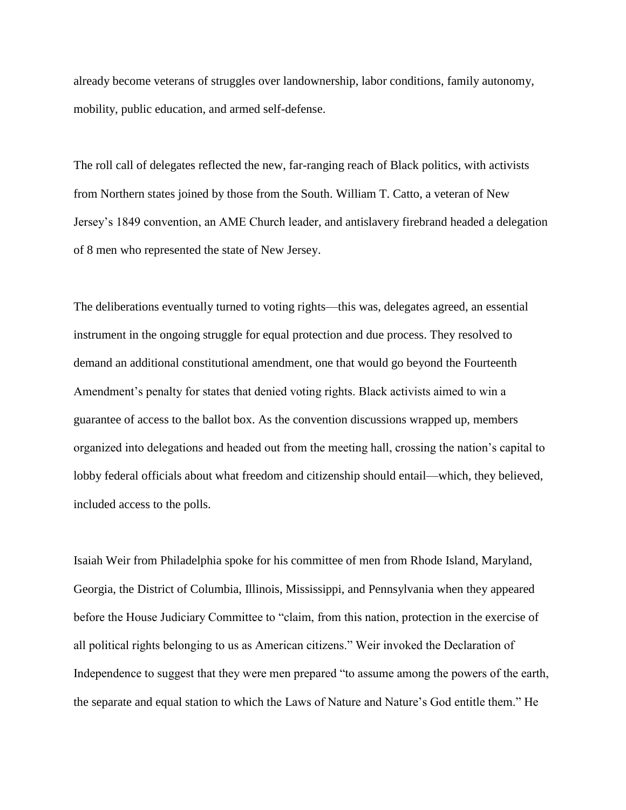already become veterans of struggles over landownership, labor conditions, family autonomy, mobility, public education, and armed self-defense.

The roll call of delegates reflected the new, far-ranging reach of Black politics, with activists from Northern states joined by those from the South. William T. Catto, a veteran of New Jersey's 1849 convention, an AME Church leader, and antislavery firebrand headed a delegation of 8 men who represented the state of New Jersey.

The deliberations eventually turned to voting rights—this was, delegates agreed, an essential instrument in the ongoing struggle for equal protection and due process. They resolved to demand an additional constitutional amendment, one that would go beyond the Fourteenth Amendment's penalty for states that denied voting rights. Black activists aimed to win a guarantee of access to the ballot box. As the convention discussions wrapped up, members organized into delegations and headed out from the meeting hall, crossing the nation's capital to lobby federal officials about what freedom and citizenship should entail—which, they believed, included access to the polls.

Isaiah Weir from Philadelphia spoke for his committee of men from Rhode Island, Maryland, Georgia, the District of Columbia, Illinois, Mississippi, and Pennsylvania when they appeared before the House Judiciary Committee to "claim, from this nation, protection in the exercise of all political rights belonging to us as American citizens." Weir invoked the Declaration of Independence to suggest that they were men prepared "to assume among the powers of the earth, the separate and equal station to which the Laws of Nature and Nature's God entitle them." He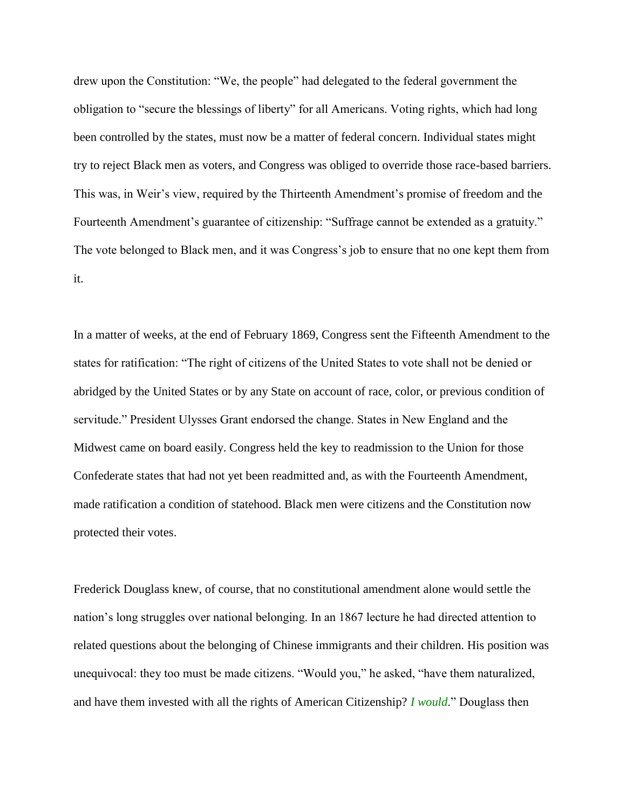drew upon the Constitution: "We, the people" had delegated to the federal government the obligation to "secure the blessings of liberty" for all Americans. Voting rights, which had long been controlled by the states, must now be a matter of federal concern. Individual states might try to reject Black men as voters, and Congress was obliged to override those race-based barriers. This was, in Weir's view, required by the Thirteenth Amendment's promise of freedom and the Fourteenth Amendment's guarantee of citizenship: "Suffrage cannot be extended as a gratuity." The vote belonged to Black men, and it was Congress's job to ensure that no one kept them from it.

In a matter of weeks, at the end of February 1869, Congress sent the Fifteenth Amendment to the states for ratification: "The right of citizens of the United States to vote shall not be denied or abridged by the United States or by any State on account of race, color, or previous condition of servitude." President Ulysses Grant endorsed the change. States in New England and the Midwest came on board easily. Congress held the key to readmission to the Union for those Confederate states that had not yet been readmitted and, as with the Fourteenth Amendment, made ratification a condition of statehood. Black men were citizens and the Constitution now protected their votes.

Frederick Douglass knew, of course, that no constitutional amendment alone would settle the nation's long struggles over national belonging. In an 1867 lecture he had directed attention to related questions about the belonging of Chinese immigrants and their children. His position was unequivocal: they too must be made citizens. "Would you," he asked, "have them naturalized, and have them invested with all the rights of American Citizenship? *I would*." Douglass then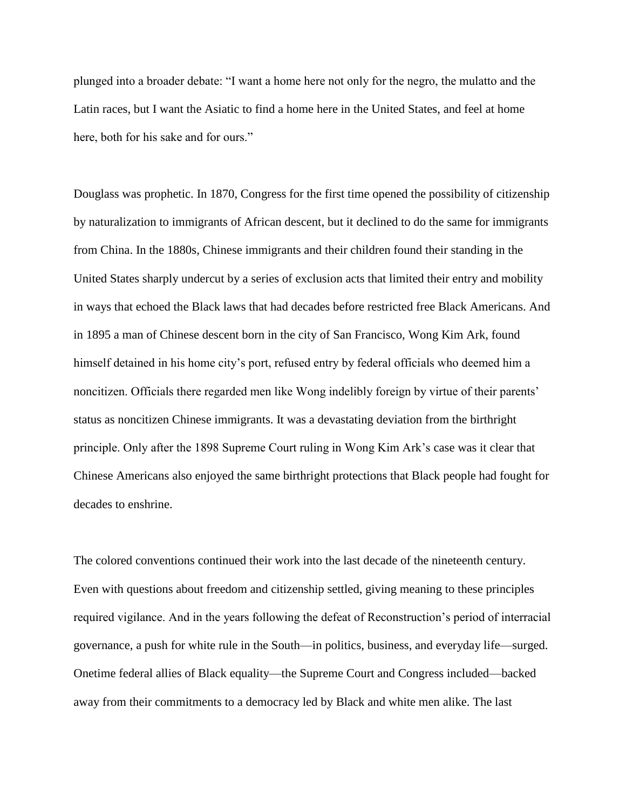plunged into a broader debate: "I want a home here not only for the negro, the mulatto and the Latin races, but I want the Asiatic to find a home here in the United States, and feel at home here, both for his sake and for ours."

Douglass was prophetic. In 1870, Congress for the first time opened the possibility of citizenship by naturalization to immigrants of African descent, but it declined to do the same for immigrants from China. In the 1880s, Chinese immigrants and their children found their standing in the United States sharply undercut by a series of exclusion acts that limited their entry and mobility in ways that echoed the Black laws that had decades before restricted free Black Americans. And in 1895 a man of Chinese descent born in the city of San Francisco, Wong Kim Ark, found himself detained in his home city's port, refused entry by federal officials who deemed him a noncitizen. Officials there regarded men like Wong indelibly foreign by virtue of their parents' status as noncitizen Chinese immigrants. It was a devastating deviation from the birthright principle. Only after the 1898 Supreme Court ruling in Wong Kim Ark's case was it clear that Chinese Americans also enjoyed the same birthright protections that Black people had fought for decades to enshrine.

The colored conventions continued their work into the last decade of the nineteenth century. Even with questions about freedom and citizenship settled, giving meaning to these principles required vigilance. And in the years following the defeat of Reconstruction's period of interracial governance, a push for white rule in the South—in politics, business, and everyday life—surged. Onetime federal allies of Black equality—the Supreme Court and Congress included—backed away from their commitments to a democracy led by Black and white men alike. The last